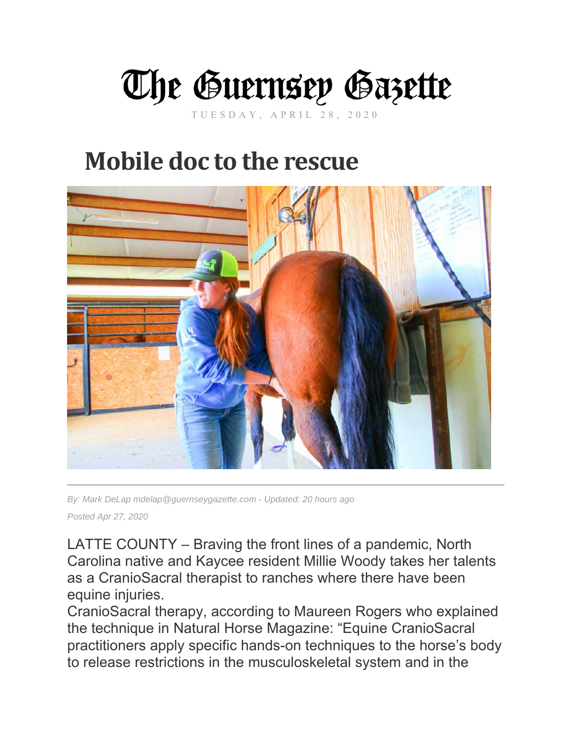

TUESDAY, APRIL 28, 2020

## **Mobile doc to the rescue**



*By: Mark DeLap mdelap@guernseygazette.com - Updated: 20 hours ago Posted Apr 27, 2020* 

LATTE COUNTY – Braving the front lines of a pandemic, North Carolina native and Kaycee resident Millie Woody takes her talents as a CranioSacral therapist to ranches where there have been equine injuries.

CranioSacral therapy, according to Maureen Rogers who explained the technique in Natural Horse Magazine: "Equine CranioSacral practitioners apply specific hands-on techniques to the horse's body to release restrictions in the musculoskeletal system and in the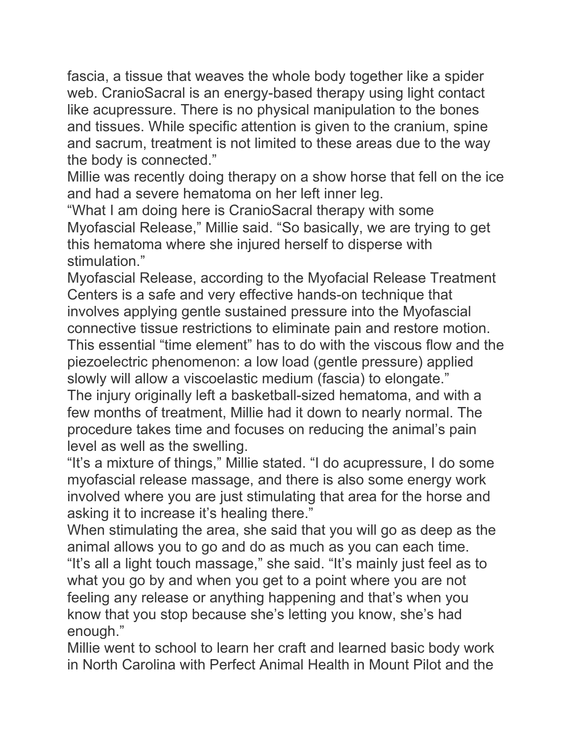fascia, a tissue that weaves the whole body together like a spider web. CranioSacral is an energy-based therapy using light contact like acupressure. There is no physical manipulation to the bones and tissues. While specific attention is given to the cranium, spine and sacrum, treatment is not limited to these areas due to the way the body is connected."

Millie was recently doing therapy on a show horse that fell on the ice and had a severe hematoma on her left inner leg.

"What I am doing here is CranioSacral therapy with some Myofascial Release," Millie said. "So basically, we are trying to get this hematoma where she injured herself to disperse with stimulation."

Myofascial Release, according to the Myofacial Release Treatment Centers is a safe and very effective hands-on technique that involves applying gentle sustained pressure into the Myofascial connective tissue restrictions to eliminate pain and restore motion. This essential "time element" has to do with the viscous flow and the piezoelectric phenomenon: a low load (gentle pressure) applied slowly will allow a viscoelastic medium (fascia) to elongate." The injury originally left a basketball-sized hematoma, and with a

few months of treatment, Millie had it down to nearly normal. The procedure takes time and focuses on reducing the animal's pain level as well as the swelling.

"It's a mixture of things," Millie stated. "I do acupressure, I do some myofascial release massage, and there is also some energy work involved where you are just stimulating that area for the horse and asking it to increase it's healing there."

When stimulating the area, she said that you will go as deep as the animal allows you to go and do as much as you can each time.

"It's all a light touch massage," she said. "It's mainly just feel as to what you go by and when you get to a point where you are not feeling any release or anything happening and that's when you know that you stop because she's letting you know, she's had enough."

Millie went to school to learn her craft and learned basic body work in North Carolina with Perfect Animal Health in Mount Pilot and the